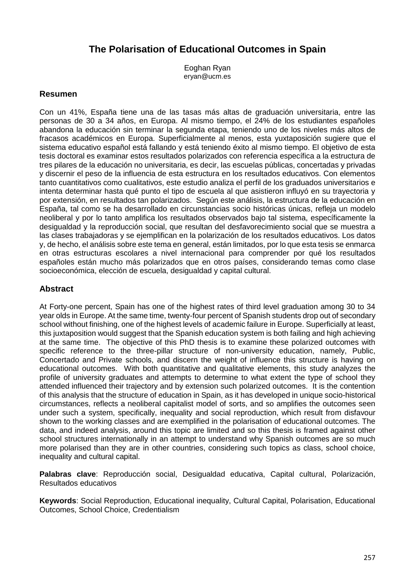# **The Polarisation of Educational Outcomes in Spain**

Eoghan Ryan [eryan@ucm.es](mailto:eryan@ucm.es)

### **Resumen**

Con un 41%, España tiene una de las tasas más altas de graduación universitaria, entre las personas de 30 a 34 años, en Europa. Al mismo tiempo, el 24% de los estudiantes españoles abandona la educación sin terminar la segunda etapa, teniendo uno de los niveles más altos de fracasos académicos en Europa. Superficialmente al menos, esta yuxtaposición sugiere que el sistema educativo español está fallando y está teniendo éxito al mismo tiempo. El objetivo de esta tesis doctoral es examinar estos resultados polarizados con referencia específica a la estructura de tres pilares de la educación no universitaria, es decir, las escuelas públicas, concertadas y privadas y discernir el peso de la influencia de esta estructura en los resultados educativos. Con elementos tanto cuantitativos como cualitativos, este estudio analiza el perfil de los graduados universitarios e intenta determinar hasta qué punto el tipo de escuela al que asistieron influyó en su trayectoria y por extensión, en resultados tan polarizados. Según este análisis, la estructura de la educación en España, tal como se ha desarrollado en circunstancias socio históricas únicas, refleja un modelo neoliberal y por lo tanto amplifica los resultados observados bajo tal sistema, específicamente la desigualdad y la reproducción social, que resultan del desfavorecimiento social que se muestra a las clases trabajadoras y se ejemplifican en la polarización de los resultados educativos. Los datos y, de hecho, el análisis sobre este tema en general, están limitados, por lo que esta tesis se enmarca en otras estructuras escolares a nivel internacional para comprender por qué los resultados españoles están mucho más polarizados que en otros países, considerando temas como clase socioeconómica, elección de escuela, desigualdad y capital cultural.

### **Abstract**

At Forty-one percent, Spain has one of the highest rates of third level graduation among 30 to 34 year olds in Europe. At the same time, twenty-four percent of Spanish students drop out of secondary school without finishing, one of the highest levels of academic failure in Europe. Superficially at least, this juxtaposition would suggest that the Spanish education system is both failing and high achieving at the same time. The objective of this PhD thesis is to examine these polarized outcomes with specific reference to the three-pillar structure of non-university education, namely, Public, Concertado and Private schools, and discern the weight of influence this structure is having on educational outcomes. With both quantitative and qualitative elements, this study analyzes the profile of university graduates and attempts to determine to what extent the type of school they attended influenced their trajectory and by extension such polarized outcomes. It is the contention of this analysis that the structure of education in Spain, as it has developed in unique socio-historical circumstances, reflects a neoliberal capitalist model of sorts, and so amplifies the outcomes seen under such a system, specifically, inequality and social reproduction, which result from disfavour shown to the working classes and are exemplified in the polarisation of educational outcomes. The data, and indeed analysis, around this topic are limited and so this thesis is framed against other school structures internationally in an attempt to understand why Spanish outcomes are so much more polarised than they are in other countries, considering such topics as class, school choice, inequality and cultural capital.

**Palabras clave**: Reproducción social, Desigualdad educativa, Capital cultural, Polarización, Resultados educativos

**Keywords**: Social Reproduction, Educational inequality, Cultural Capital, Polarisation, Educational Outcomes, School Choice, Credentialism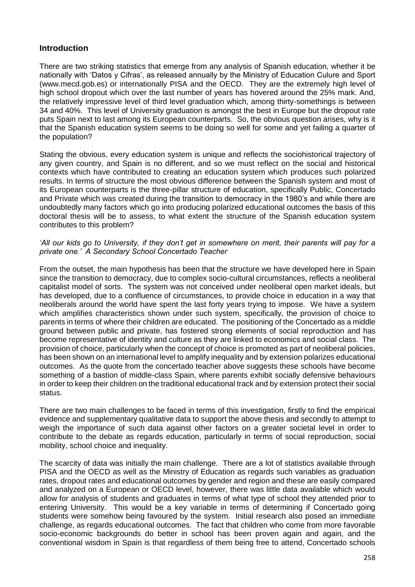### **Introduction**

There are two striking statistics that emerge from any analysis of Spanish education, whether it be nationally with 'Datos y Cifras', as released annually by the Ministry of Education Culure and Sport (www.mecd.gob.es) or internationally PISA and the OECD. They are the extremely high level of high school dropout which over the last number of years has hovered around the 25% mark. And, the relatively impressive level of third level graduation which, among thirty-somethings is between 34 and 40%. This level of University graduation is amongst the best in Europe but the dropout rate puts Spain next to last among its European counterparts. So, the obvious question arises, why is it that the Spanish education system seems to be doing so well for some and yet failing a quarter of the population?

Stating the obvious, every education system is unique and reflects the sociohistorical trajectory of any given country, and Spain is no different, and so we must reflect on the social and historical contexts which have contributed to creating an education system which produces such polarized results. In terms of structure the most obvious difference between the Spanish system and most of its European counterparts is the three-pillar structure of education, specifically Public, Concertado and Private which was created during the transition to democracy in the 1980's and while there are undoubtedly many factors which go into producing polarized educational outcomes the basis of this doctoral thesis will be to assess, to what extent the structure of the Spanish education system contributes to this problem?

#### *'All our kids go to University, if they don't get in somewhere on merit, their parents will pay for a private one.' A Secondary School Concertado Teacher*

From the outset, the main hypothesis has been that the structure we have developed here in Spain since the transition to democracy, due to complex socio-cultural circumstances, reflects a neoliberal capitalist model of sorts. The system was not conceived under neoliberal open market ideals, but has developed, due to a confluence of circumstances, to provide choice in education in a way that neoliberals around the world have spent the last forty years trying to impose. We have a system which amplifies characteristics shown under such system, specifically, the provision of choice to parents in terms of where their children are educated. The positioning of the Concertado as a middle ground between public and private, has fostered strong elements of social reproduction and has become representative of identity and culture as they are linked to economics and social class. The provision of choice, particularly when the concept of choice is promoted as part of neoliberal policies, has been shown on an international level to amplify inequality and by extension polarizes educational outcomes. As the quote from the concertado teacher above suggests these schools have become something of a bastion of middle-class Spain, where parents exhibit socially defensive behaviours in order to keep their children on the traditional educational track and by extension protect their social status.

There are two main challenges to be faced in terms of this investigation, firstly to find the empirical evidence and supplementary qualitative data to support the above thesis and secondly to attempt to weigh the importance of such data against other factors on a greater societal level in order to contribute to the debate as regards education, particularly in terms of social reproduction, social mobility, school choice and inequality.

The scarcity of data was initially the main challenge. There are a lot of statistics available through PISA and the OECD as well as the Ministry of Education as regards such variables as graduation rates, dropout rates and educational outcomes by gender and region and these are easily compared and analyzed on a European or OECD level, however, there was little data available which would allow for analysis of students and graduates in terms of what type of school they attended prior to entering University. This would be a key variable in terms of determining if Concertado going students were somehow being favoured by the system. Initial research also posed an immediate challenge, as regards educational outcomes. The fact that children who come from more favorable socio-economic backgrounds do better in school has been proven again and again, and the conventional wisdom in Spain is that regardless of them being free to attend, Concertado schools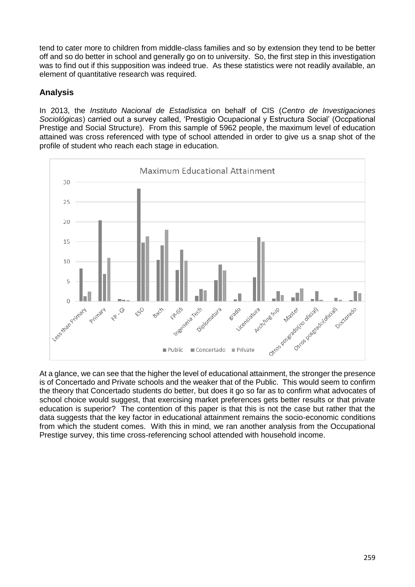tend to cater more to children from middle-class families and so by extension they tend to be better off and so do better in school and generally go on to university. So, the first step in this investigation was to find out if this supposition was indeed true. As these statistics were not readily available, an element of quantitative research was required.

## **Analysis**

In 2013, the *Instituto Nacional de Estadística* on behalf of CIS (*Centro de Investigaciones Sociológicas*) carried out a survey called, 'Prestigio Ocupacional y Estructura Social' (Occpational Prestige and Social Structure). From this sample of 5962 people, the maximum level of education attained was cross referenced with type of school attended in order to give us a snap shot of the profile of student who reach each stage in education.



At a glance, we can see that the higher the level of educational attainment, the stronger the presence is of Concertado and Private schools and the weaker that of the Public. This would seem to confirm the theory that Concertado students do better, but does it go so far as to confirm what advocates of school choice would suggest, that exercising market preferences gets better results or that private education is superior? The contention of this paper is that this is not the case but rather that the data suggests that the key factor in educational attainment remains the socio-economic conditions from which the student comes. With this in mind, we ran another analysis from the Occupational Prestige survey, this time cross-referencing school attended with household income.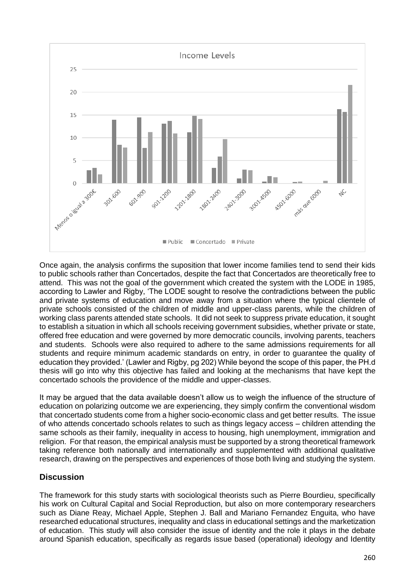

Once again, the analysis confirms the suposition that lower income families tend to send their kids to public schools rather than Concertados, despite the fact that Concertados are theoretically free to attend. This was not the goal of the government which created the system with the LODE in 1985, according to Lawler and Rigby, 'The LODE sought to resolve the contradictions between the public and private systems of education and move away from a situation where the typical clientele of private schools consisted of the children of middle and upper-class parents, while the children of working class parents attended state schools. It did not seek to suppress private education, it sought to establish a situation in which all schools receiving government subsidies, whether private or state, offered free education and were governed by more democratic councils, involving parents, teachers and students. Schools were also required to adhere to the same admissions requirements for all students and require minimum academic standards on entry, in order to guarantee the quality of education they provided.' (Lawler and Rigby, pg 202) While beyond the scope of this paper, the PH.d thesis will go into why this objective has failed and looking at the mechanisms that have kept the concertado schools the providence of the middle and upper-classes.

It may be argued that the data available doesn't allow us to weigh the influence of the structure of education on polarizing outcome we are experiencing, they simply confirm the conventional wisdom that concertado students come from a higher socio-economic class and get better results. The issue of who attends concertado schools relates to such as things legacy access – children attending the same schools as their family, inequality in access to housing, high unemployment, immigration and religion. For that reason, the empirical analysis must be supported by a strong theoretical framework taking reference both nationally and internationally and supplemented with additional qualitative research, drawing on the perspectives and experiences of those both living and studying the system.

# **Discussion**

The framework for this study starts with sociological theorists such as Pierre Bourdieu, specifically his work on Cultural Capital and Social Reproduction, but also on more contemporary researchers such as Diane Reay, Michael Apple, Stephen J. Ball and Mariano Fernandez Enguita, who have researched educational structures, inequality and class in educational settings and the marketization of education. This study will also consider the issue of identity and the role it plays in the debate around Spanish education, specifically as regards issue based (operational) ideology and Identity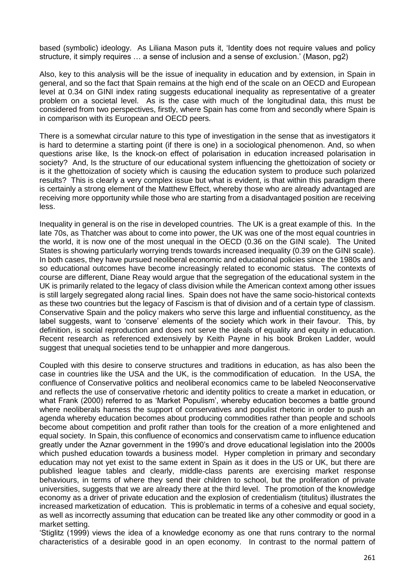based (symbolic) ideology. As Liliana Mason puts it, 'Identity does not require values and policy structure, it simply requires … a sense of inclusion and a sense of exclusion.' (Mason, pg2)

Also, key to this analysis will be the issue of inequality in education and by extension, in Spain in general, and so the fact that Spain remains at the high end of the scale on an OECD and European level at 0.34 on GINI index rating suggests educational inequality as representative of a greater problem on a societal level. As is the case with much of the longitudinal data, this must be considered from two perspectives, firstly, where Spain has come from and secondly where Spain is in comparison with its European and OECD peers.

There is a somewhat circular nature to this type of investigation in the sense that as investigators it is hard to determine a starting point (if there is one) in a sociological phenomenon. And, so when questions arise like, Is the knock-on effect of polarisation in education increased polarisation in society? And, Is the structure of our educational system influencing the ghettoization of society or is it the ghettoization of society which is causing the education system to produce such polarized results? This is clearly a very complex issue but what is evident, is that within this paradigm there is certainly a strong element of the Matthew Effect, whereby those who are already advantaged are receiving more opportunity while those who are starting from a disadvantaged position are receiving less.

Inequality in general is on the rise in developed countries. The UK is a great example of this. In the late 70s, as Thatcher was about to come into power, the UK was one of the most equal countries in the world, it is now one of the most unequal in the OECD (0.36 on the GINI scale). The United States is showing particularly worrying trends towards increased inequality (0.39 on the GINI scale). In both cases, they have pursued neoliberal economic and educational policies since the 1980s and so educational outcomes have become increasingly related to economic status. The contexts of course are different, Diane Reay would argue that the segregation of the educational system in the UK is primarily related to the legacy of class division while the American context among other issues is still largely segregated along racial lines. Spain does not have the same socio-historical contexts as these two countries but the legacy of Fascism is that of division and of a certain type of classism. Conservative Spain and the policy makers who serve this large and influential constituency, as the label suggests, want to 'conserve' elements of the society which work in their favour. This, by definition, is social reproduction and does not serve the ideals of equality and equity in education. Recent research as referenced extensively by Keith Payne in his book Broken Ladder, would suggest that unequal societies tend to be unhappier and more dangerous.

Coupled with this desire to conserve structures and traditions in education, as has also been the case in countries like the USA and the UK, is the commodification of education. In the USA, the confluence of Conservative politics and neoliberal economics came to be labeled Neoconservative and reflects the use of conservative rhetoric and identity politics to create a market in education, or what Frank (2000) referred to as 'Market Populism', whereby education becomes a battle ground where neoliberals harness the support of conservatives and populist rhetoric in order to push an agenda whereby education becomes about producing commodities rather than people and schools become about competition and profit rather than tools for the creation of a more enlightened and equal society. In Spain, this confluence of economics and conservatism came to influence education greatly under the Aznar government in the 1990's and drove educational legislation into the 2000s which pushed education towards a business model. Hyper completion in primary and secondary education may not yet exist to the same extent in Spain as it does in the US or UK, but there are published league tables and clearly, middle-class parents are exercising market response behaviours, in terms of where they send their children to school, but the proliferation of private universities, suggests that we are already there at the third level. The promotion of the knowledge economy as a driver of private education and the explosion of credentialism (titulitus) illustrates the increased marketization of education. This is problematic in terms of a cohesive and equal society, as well as incorrectly assuming that education can be treated like any other commodity or good in a market setting.

'Stiglitz (1999) views the idea of a knowledge economy as one that runs contrary to the normal characteristics of a desirable good in an open economy. In contrast to the normal pattern of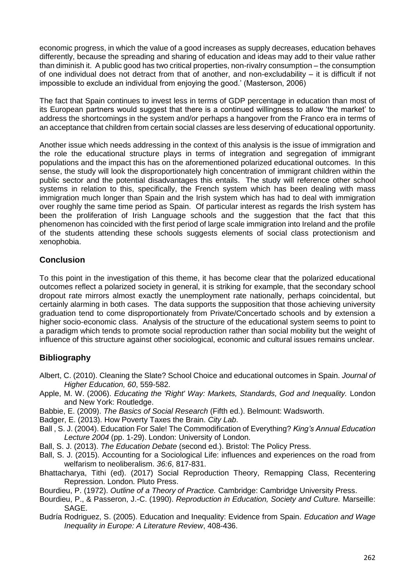economic progress, in which the value of a good increases as supply decreases, education behaves differently, because the spreading and sharing of education and ideas may add to their value rather than diminish it. A public good has two critical properties, non-rivalry consumption – the consumption of one individual does not detract from that of another, and non-excludability – it is difficult if not impossible to exclude an individual from enjoying the good.' (Masterson, 2006)

The fact that Spain continues to invest less in terms of GDP percentage in education than most of its European partners would suggest that there is a continued willingness to allow 'the market' to address the shortcomings in the system and/or perhaps a hangover from the Franco era in terms of an acceptance that children from certain social classes are less deserving of educational opportunity.

Another issue which needs addressing in the context of this analysis is the issue of immigration and the role the educational structure plays in terms of integration and segregation of immigrant populations and the impact this has on the aforementioned polarized educational outcomes. In this sense, the study will look the disproportionately high concentration of immigrant children within the public sector and the potential disadvantages this entails. The study will reference other school systems in relation to this, specifically, the French system which has been dealing with mass immigration much longer than Spain and the Irish system which has had to deal with immigration over roughly the same time period as Spain. Of particular interest as regards the Irish system has been the proliferation of Irish Language schools and the suggestion that the fact that this phenomenon has coincided with the first period of large scale immigration into Ireland and the profile of the students attending these schools suggests elements of social class protectionism and xenophobia.

### **Conclusion**

To this point in the investigation of this theme, it has become clear that the polarized educational outcomes reflect a polarized society in general, it is striking for example, that the secondary school dropout rate mirrors almost exactly the unemployment rate nationally, perhaps coincidental, but certainly alarming in both cases. The data supports the supposition that those achieving university graduation tend to come disproportionately from Private/Concertado schools and by extension a higher socio-economic class. Analysis of the structure of the educational system seems to point to a paradigm which tends to promote social reproduction rather than social mobility but the weight of influence of this structure against other sociological, economic and cultural issues remains unclear.

# **Bibliography**

- Albert, C. (2010). Cleaning the Slate? School Choice and educational outcomes in Spain. *Journal of Higher Education, 60*, 559-582.
- Apple, M. W. (2006). *Educating the 'Right' Way: Markets, Standards, God and Inequality.* London and New York: Routledge.
- Babbie, E. (2009). *The Basics of Social Research* (Fifth ed.). Belmount: Wadsworth.
- Badger, E. (2013). How Poverty Taxes the Brain. *City Lab*.
- Ball , S. J. (2004). Education For Sale! The Commodification of Everything? *King's Annual Education Lecture 2004* (pp. 1-29). London: University of London.
- Ball, S. J. (2013). *The Education Debate* (second ed.). Bristol: The Policy Press.
- Ball, S. J. (2015). Accounting for a Sociological Life: influences and experiences on the road from welfarism to neoliberalism. *36:6*, 817-831.

Bhattacharya, Tithi (ed). (2017) Social Reproduction Theory, Remapping Class, Recentering Repression. London. Pluto Press.

Bourdieu, P. (1972). *Outline of a Theory of Practice.* Cambridge: Cambridge University Press.

- Bourdieu, P., & Passeron, J.-C. (1990). *Reproduction in Education, Society and Culture.* Marseille: SAGE.
- Budría Rodriguez, S. (2005). Education and Inequality: Evidence from Spain. *Education and Wage Inequality in Europe: A Literature Review*, 408-436.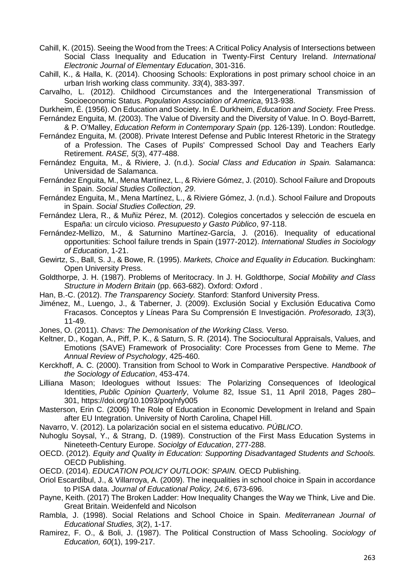- Cahill, K. (2015). Seeing the Wood from the Trees: A Critical Policy Analysis of Intersections between Social Class Inequality and Education in Twenty-First Century Ireland. *International Electronic Journal of Elementary Education*, 301-316.
- Cahill, K., & Halla, K. (2014). Choosing Schools: Explorations in post primary school choice in an urban Irish working class community. *33*(4), 383-397.
- Carvalho, L. (2012). Childhood Circumstances and the Intergenerational Transmission of Socioeconomic Status. *Population Association of America*, 913-938.
- Durkheim, É. (1956). On Education and Society. In É. Durkheim, *Education and Society.* Free Press.
- Fernández Enguita, M. (2003). The Value of Diversity and the Diversity of Value. In O. Boyd-Barrett, & P. O'Malley, *Education Reform in Contemporary Spain* (pp. 126-139). London: Routledge.
- Fernández Enguita, M. (2008). Private Interest Defense and Public Interest Rhetoric in the Strategy of a Profession. The Cases of Pupils' Compressed School Day and Teachers Early Retirement. *RASE, 5*(3), 477-488.
- Fernández Enguita, M., & Riviere, J. (n.d.). *Social Class and Education in Spain.* Salamanca: Universidad de Salamanca.
- Fernández Enguita, M., Mena Martínez, L., & Riviere Gómez, J. (2010). School Failure and Dropouts in Spain. *Social Studies Collection, 29*.
- Fernández Enguita, M., Mena Martínez, L., & Riviere Gómez, J. (n.d.). School Failure and Dropouts in Spain. *Social Studies Collection, 29*.
- Fernández Llera, R., & Muñiz Pérez, M. (2012). Colegios concertados y selección de escuela en España: un círculo vicioso. *Presupuesto y Gasto Público*, 97-118.
- Fernández-Mellizo, M., & Saturnino Martínez-García, J. (2016). Inequality of educational opportunities: School failure trends in Spain (1977-2012). *International Studies in Sociology of Education*, 1-21.
- Gewirtz, S., Ball, S. J., & Bowe, R. (1995). *Markets, Choice and Equality in Education.* Buckingham: Open University Press.
- Goldthorpe, J. H. (1987). Problems of Meritocracy. In J. H. Goldthorpe, *Social Mobility and Class Structure in Modern Britain* (pp. 663-682). Oxford: Oxford .
- Han, B.-C. (2012). *The Transparency Society.* Stanford: Stanford University Press.
- Jiménez, M., Luengo, J., & Taberner, J. (2009). Exclusión Social y Exclusión Educativa Como Fracasos. Conceptos y Líneas Para Su Comprensión E Investigación. *Profesorado, 13*(3), 11-49.
- Jones, O. (2011). *Chavs: The Demonisation of the Working Class.* Verso.
- Keltner, D., Kogan, A., Piff, P. K., & Saturn, S. R. (2014). The Sociocultural Appraisals, Values, and Emotions (SAVE) Framework of Prosociality: Core Processes from Gene to Meme. *The Annual Review of Psychology*, 425-460.
- Kerckhoff, A. C. (2000). Transition from School to Work in Comparative Perspective. *Handbook of the Sociology of Education*, 453-474.
- Lilliana Mason; Ideologues without Issues: The Polarizing Consequences of Ideological Identities, *Public Opinion Quarterly*, Volume 82, Issue S1, 11 April 2018, Pages 280– 301, <https://doi.org/10.1093/poq/nfy005>
- Masterson, Erin C. (2006) The Role of Education in Economic Development in Ireland and Spain after EU Integration. University of North Carolina, Chapel Hill.
- Navarro, V. (2012). La polarización social en el sistema educativo. *PÚBLICO*.
- Nuhoglu Soysal, Y., & Strang, D. (1989). Construction of the First Mass Education Systems in Nineteeth-Century Europe. *Sociolgy of Education*, 277-288.
- OECD. (2012). *Equity and Quality in Education: Supporting Disadvantaged Students and Schools.* OECD Publishing.
- OECD. (2014). *EDUCATION POLICY OUTLOOK: SPAIN.* OECD Publishing.
- Oriol Escardíbul, J., & Villarroya, A. (2009). The inequalities in school choice in Spain in accordance to PISA data. *Journal of Educational Policy, 24:6*, 673-696.
- Payne, Keith. (2017) The Broken Ladder: How Inequality Changes the Way we Think, Live and Die. Great Britain. Weidenfeld and Nicolson
- Rambla, J. (1998). Social Relations and School Choice in Spain. *Mediterranean Journal of Educational Studies, 3*(2), 1-17.
- Ramirez, F. O., & Boli, J. (1987). The Political Construction of Mass Schooling. *Sociology of Education, 60*(1), 199-217.